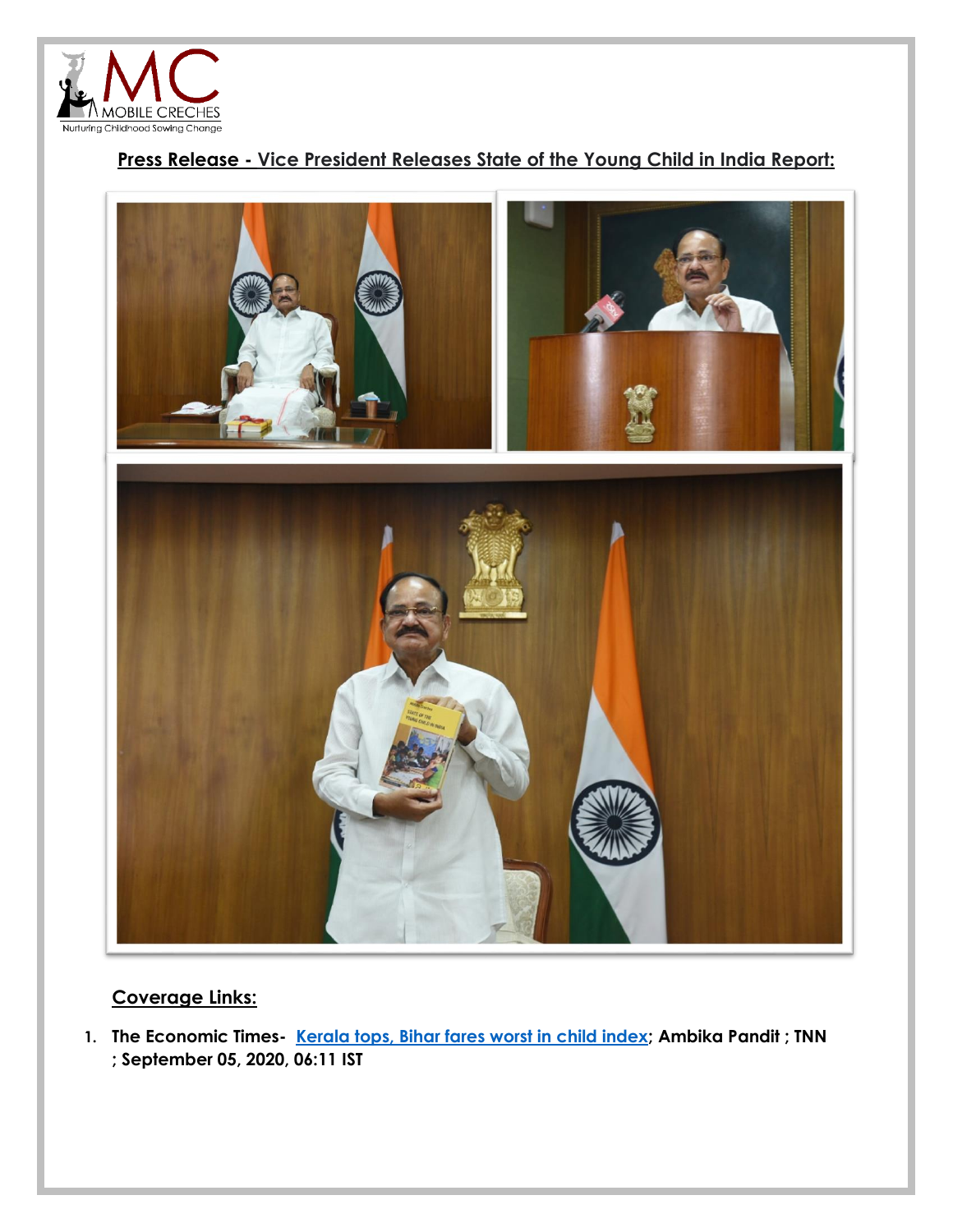

## **Press Release - Vice President Releases State of the Young Child in India Report:**



## **Coverage Links:**

**1. The Economic Times- Kerala [tops, Bihar fares worst in child index;](https://health.economictimes.indiatimes.com/news/industry/kerala-tops-bihar-fares-worst-in-child-index/77941991) [Ambika Pandit](https://health.economictimes.indiatimes.com/author/17003/ambika-pandit) ; [TNN](https://health.economictimes.indiatimes.com/agency/87654367/TNN) ; September 05, 2020, 06:11 IST**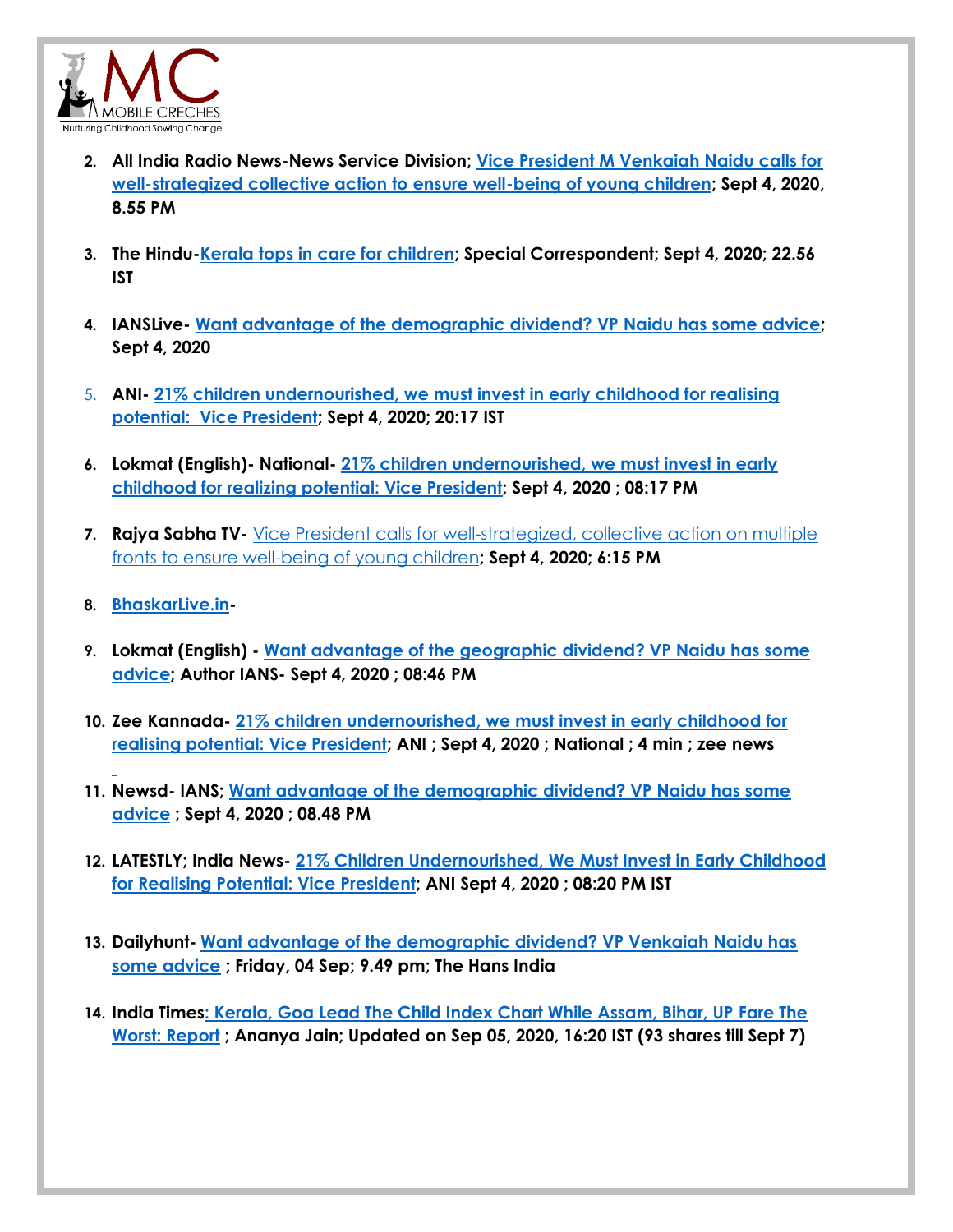

- **2. All India Radio News-News Service Division; [Vice President M Venkaiah Naidu calls for](http://www.newsonair.com/News?title=Vice-President-M-Venkaiah-Naidu-calls-for-well-strategized-collective-action-to-ensure-well-being-of-young-children&id=399071)  [well-strategized collective action to ensure well-being of young children;](http://www.newsonair.com/News?title=Vice-President-M-Venkaiah-Naidu-calls-for-well-strategized-collective-action-to-ensure-well-being-of-young-children&id=399071) Sept 4, 2020, 8.55 PM**
- **3. The Hindu[-Kerala tops in care for children;](https://www.thehindu.com/news/national/kerala-tops-in-care-for-children/article32526471.ece) Special Correspondent; Sept 4, 2020; 22.56 IST**
- **4. IANSLive- [Want advantage of the demographic dividend? VP Naidu has some advice;](http://www.ianslive.in/index.php?param=news/Want_advantage_of_the_demographic_dividend_VP_Naidu_has_some_advice-717471/NATION/1) Sept 4, 2020**
- 5. **ANI- [21% children undernourished, we must invest in early childhood for realising](https://www.aninews.in/news/national/general-news/21-children-undernourished-we-must-invest-in-early-childhood-for-realising-potential-vice-president20200904201728/)  [potential: Vice President;](https://www.aninews.in/news/national/general-news/21-children-undernourished-we-must-invest-in-early-childhood-for-realising-potential-vice-president20200904201728/) Sept 4, 2020; 20:17 IST**
- **6. Lokmat (English)- National- [21% children undernourished, we must invest in early](https://english.lokmat.com/national/21-children-undernourished-we-must-invest-in-early-childhood-for-realising-potential-vice-president/)  [childhood for realizing potential: Vice President;](https://english.lokmat.com/national/21-children-undernourished-we-must-invest-in-early-childhood-for-realising-potential-vice-president/) Sept 4, 2020 ; 08:17 PM**
- **7. Rajya Sabha TV-** [Vice President calls for well-strategized, collective action on multiple](https://rstv.nic.in/vice-president-calls-well-strategized-collective-action-multiple-fronts-ensure-well-young-children.html)  [fronts to ensure well-being of young children](https://rstv.nic.in/vice-president-calls-well-strategized-collective-action-multiple-fronts-ensure-well-young-children.html)**; Sept 4, 2020; 6:15 PM**
- **8. [BhaskarLive.in-](https://www.bhaskarlive.in/want-advantage-of-the-demographic-dividend-vp-naidu-has-some-advice/)**
- **9. Lokmat (English) - [Want advantage of the geographic dividend? VP Naidu has some](https://english.lokmat.com/politics/want-advantage-of-the-demographic-dividend-vp-naidu-has-some-advice/)  [advice;](https://english.lokmat.com/politics/want-advantage-of-the-demographic-dividend-vp-naidu-has-some-advice/) Author IANS- Sept 4, 2020 ; 08:46 PM**
- **10. Zee Kannada- [21% children undernourished, we must invest in early childhood for](https://www.zee5.com/zeekannada/21-children-undernourished-we-must-invest-in-early-childhood-for-realising-potential-vice-president/)  [realising potential: Vice President;](https://www.zee5.com/zeekannada/21-children-undernourished-we-must-invest-in-early-childhood-for-realising-potential-vice-president/) ANI ; Sept 4, 2020 ; National ; 4 min ; zee news**
- **11. Newsd- IANS; [Want advantage of the demographic dividend? VP Naidu has some](https://newsd.in/want-advantage-of-the-demographic-dividend-vp-naidu-has-some-advice/)  [advice](https://newsd.in/want-advantage-of-the-demographic-dividend-vp-naidu-has-some-advice/) ; Sept 4, 2020 ; 08.48 PM**
- **12. LATESTLY; India News- [21% Children Undernourished, We Must Invest in Early Childhood](https://www.latestly.com/agency-news/india-news-21-children-undernourished-we-must-invest-in-early-childhood-for-realising-potential-vice-president-2007950.html)  [for Realising Potential: Vice President;](https://www.latestly.com/agency-news/india-news-21-children-undernourished-we-must-invest-in-early-childhood-for-realising-potential-vice-president-2007950.html) ANI Sept 4, 2020 ; 08:20 PM IST**
- **13. Dailyhunt- [Want advantage of the demographic dividend? VP Venkaiah Naidu has](https://m.dailyhunt.in/news/india/english/thehansindia-epaper-hans/want+advantage+of+the+demographic+dividend+vp+venkaiah+naidu+has+some+advice-newsid-n212040704)  [some advice](https://m.dailyhunt.in/news/india/english/thehansindia-epaper-hans/want+advantage+of+the+demographic+dividend+vp+venkaiah+naidu+has+some+advice-newsid-n212040704) ; Friday, 04 Sep; 9.49 pm; The Hans India**
- **14. India Time[s: Kerala, Goa Lead The Child Index Chart While Assam, Bihar, UP Fare The](https://www.indiatimes.com/news/bihar-continues-to-perform-the-worst-in-child-index-while-kerala-tops-the-chart-522083.html)  [Worst: Report](https://www.indiatimes.com/news/bihar-continues-to-perform-the-worst-in-child-index-while-kerala-tops-the-chart-522083.html) ; [Ananya Jain;](https://www.indiatimes.com/author/ananya-jain/3170) Updated on Sep 05, 2020, 16:20 IST (93 shares till Sept 7)**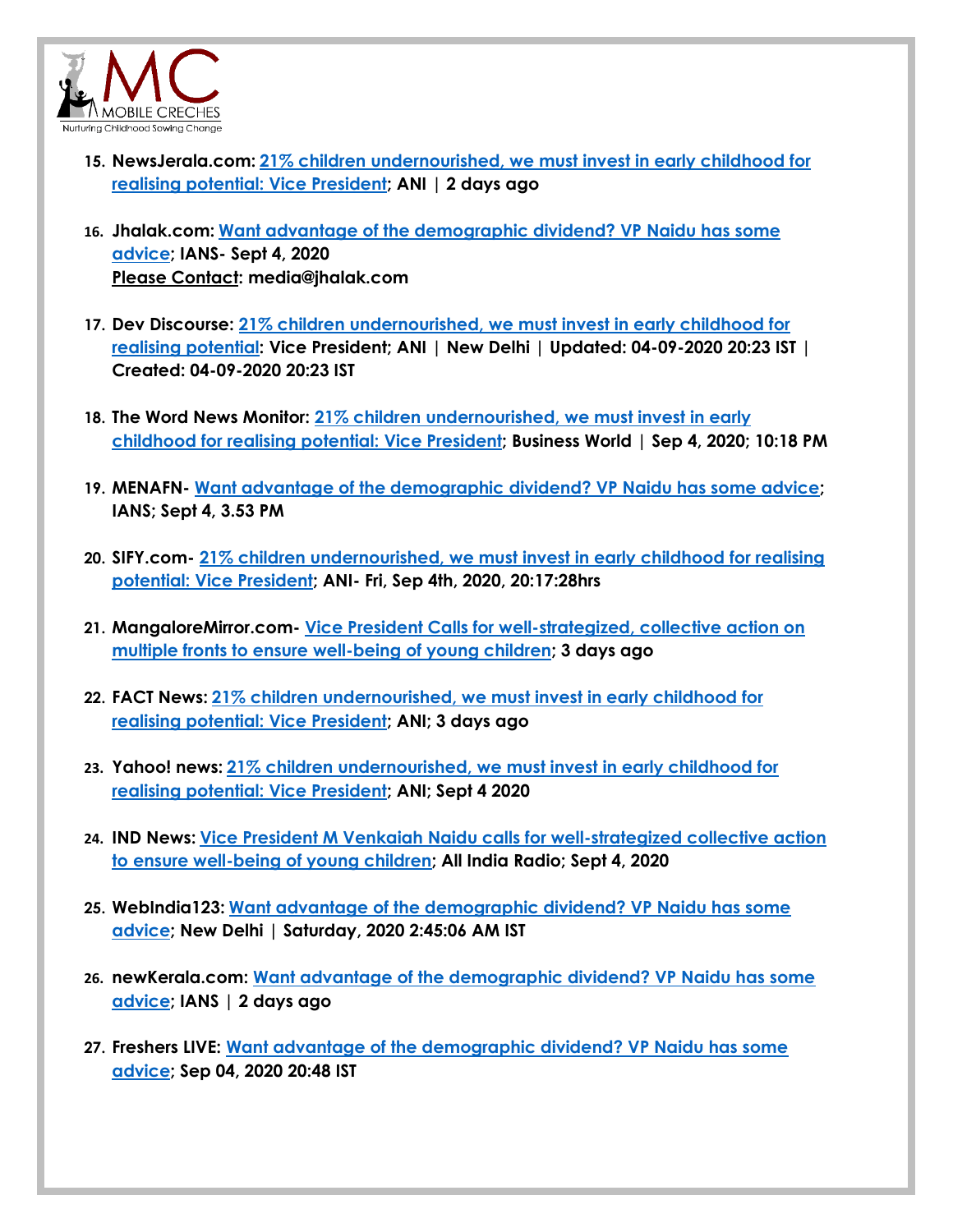

- **15. NewsJerala.com: [21% children undernourished, we must invest in early childhood for](https://www.newkerala.com/news/2020/157021.htm)  [realising potential: Vice President;](https://www.newkerala.com/news/2020/157021.htm) ANI | 2 days ago**
- **16. Jhalak.com: [Want advantage of the demographic dividend? VP Naidu has some](https://jhalak.com/political-news-Want-advantage-of-the-demographic-dividend-VP-Naidu-has-some-advice-48321)  [advice;](https://jhalak.com/political-news-Want-advantage-of-the-demographic-dividend-VP-Naidu-has-some-advice-48321) IANS- Sept 4, 2020 Please Contact: [media@jhalak.com](mailto:media@jhalak.com)**
- **17. Dev Discourse: [21% children undernourished, we must invest in early childhood for](https://www.devdiscourse.com/article/headlines/1198521-21-children-undernourished-we-must-invest-in-early-childhood-for-realising-potential-vice-president)  [realising potential:](https://www.devdiscourse.com/article/headlines/1198521-21-children-undernourished-we-must-invest-in-early-childhood-for-realising-potential-vice-president) Vice President; [ANI](https://www.devdiscourse.com/ani-stories) | New Delhi | Updated: 04-09-2020 20:23 IST | Created: 04-09-2020 20:23 IST**
- **18. The Word News Monitor: [21% children undernourished, we must invest in early](https://world-news-monitor.com/environment/2020/09/04/21-children-undernourished-we-must-invest-in-early-childhood-for-realising-potential-vice-president/)  [childhood for realising potential:](https://world-news-monitor.com/environment/2020/09/04/21-children-undernourished-we-must-invest-in-early-childhood-for-realising-potential-vice-president/) Vice President; [Business World |](http://www.businessworld.in/article/21-children-undernourished-we-must-invest-in-early-childhood-for-realising-potential-Vice-President-/04-09-2020-316753/) Sep 4, 2020; 10:18 PM**
- **19. MENAFN- [Want advantage of the demographic dividend? VP Naidu has some advice;](https://menafn.com/1100748772/Want-advantage-of-the-demographic-dividend-VP-Naidu-has-some-advice) IANS; Sept 4, 3.53 PM**
- **20. SIFY.com- [21% children undernourished, we must invest in early childhood for realising](https://www.sify.com/news/21-children-undernourished-we-must-invest-in-early-childhood-for-realising-potential--vice-president-news-national-ujepalhgdbieh.html)  [potential: Vice President;](https://www.sify.com/news/21-children-undernourished-we-must-invest-in-early-childhood-for-realising-potential--vice-president-news-national-ujepalhgdbieh.html) ANI- Fri, Sep 4th, 2020, 20:17:28hrs**
- **21. MangaloreMirror.com- [Vice President Calls for well-strategized, collective action on](https://www.mangaloremirror.com/vice-president-calls-for-well-strategized-collective-action-on-multiple-fronts-to-ensure-well-being-of-young-children/)  [multiple fronts to ensure well-being of young children;](https://www.mangaloremirror.com/vice-president-calls-for-well-strategized-collective-action-on-multiple-fronts-to-ensure-well-being-of-young-children/) 3 days ago**
- **22. FACT News: [21% children undernourished, we must invest in early childhood for](https://thefactnews.in/21-children-undernourished-we-must-invest-in-early-childhood-for-realising-potential-vice-president-2/)  [realising potential: Vice President;](https://thefactnews.in/21-children-undernourished-we-must-invest-in-early-childhood-for-realising-potential-vice-president-2/) ANI; 3 days ago**
- **23. Yahoo! news: [21% children undernourished, we must invest in early childhood for](https://in.news.yahoo.com/21-children-undernourished-must-invest-144728261.html)  [realising potential: Vice President;](https://in.news.yahoo.com/21-children-undernourished-must-invest-144728261.html) ANI; Sept 4 2020**
- **24. IND News: [Vice President M Venkaiah Naidu calls for well-strategized collective action](https://ind.news/vice-president-m-venkaiah-naidu-calls-for-well-strategized-collective-action-to-ensure-well-being-of-young-children/)  [to ensure well-being of young children;](https://ind.news/vice-president-m-venkaiah-naidu-calls-for-well-strategized-collective-action-to-ensure-well-being-of-young-children/) All India Radio; Sept 4, 2020**
- **25. WebIndia123: [Want advantage of the demographic dividend? VP Naidu has some](https://news.webindia123.com/news/articles/India/20200905/3621144.html)  [advice;](https://news.webindia123.com/news/articles/India/20200905/3621144.html) New Delhi | Saturday, 2020 2:45:06 AM IST**
- **26. newKerala.com: [Want advantage of the demographic dividend? VP Naidu has some](https://www.newkerala.com/news/2020/157168.htm)  [advice;](https://www.newkerala.com/news/2020/157168.htm) IANS | 2 days ago**
- **27. Freshers LIVE: [Want advantage of the demographic dividend? VP Naidu has some](https://latestnews.fresherslive.com/articles/want-advantage-of-the-demographic-dividend-vp-naidu-has-some-advice-148387)  [advice;](https://latestnews.fresherslive.com/articles/want-advantage-of-the-demographic-dividend-vp-naidu-has-some-advice-148387) Sep 04, 2020 20:48 IST**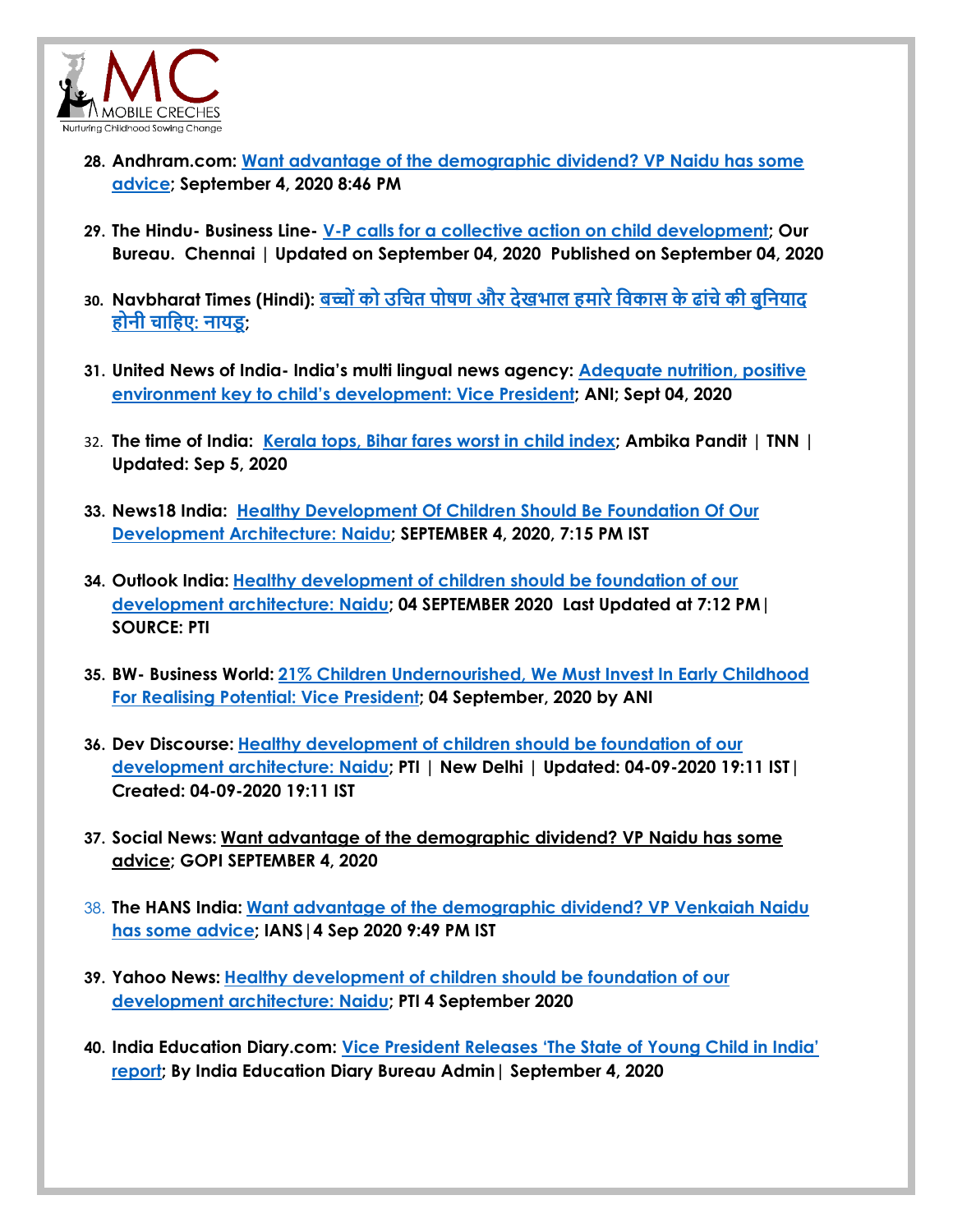

- **28. Andhram.com: [Want advantage of the demographic dividend? VP Naidu has some](https://www.andhram.com/news/want-advantage-of-the-demographic-dividend-vp-naidu-has-some-advice/)  [advice; September 4, 2020 8:46 PM](https://www.andhram.com/news/want-advantage-of-the-demographic-dividend-vp-naidu-has-some-advice/)**
- **29. The Hindu- Business Line- [V-P calls for a collective action on child development;](https://www.thehindubusinessline.com/news/v-p-calls-for-a-collective-action-on-child-development/article32525208.ece) [Our](https://www.thehindubusinessline.com/profile/author/Our-Bureau-137009/)  [Bureau.](https://www.thehindubusinessline.com/profile/author/Our-Bureau-137009/) Chennai | Updated on September 04, 2020 Published on September 04, 2020**
- **30. Navbharat Times (Hindi): बच्च ोंकच उचित पचषण और देखभाल [हमारेचिकास](https://navbharattimes.indiatimes.com/india/proper-nutrition-and-care-to-children-should-be-the-foundation-of-our-development-structure-naidu/articleshow/77934723.cms) के ढाोंिेकी बुचियाद हचिी [िाचहए](https://navbharattimes.indiatimes.com/india/proper-nutrition-and-care-to-children-should-be-the-foundation-of-our-development-structure-naidu/articleshow/77934723.cms): िायडू;**
- **31. United News of India- India's multi lingual news agency: [Adequate nutrition, positive](http://www.uniindia.com/~/adequate-nutrition-positive-environment-key-to-child-s-development-vp/India/news/2149294.html)  envi[ronment key to child's development: Vice President](http://www.uniindia.com/~/adequate-nutrition-positive-environment-key-to-child-s-development-vp/India/news/2149294.html); ANI; Sept 04, 2020**
- 32. **The time of India: [Kerala tops, Bihar fares worst in child index;](https://timesofindia.indiatimes.com/india/kerala-tops-bihar-fares-worst-in-child-index/articleshow/77936998.cms) Ambika Pandit | TNN | Updated: Sep 5, 2020**
- **33. News18 India: [Healthy Development Of Children Should Be Foundation Of Our](https://www.news18.com/news/india/healthy-development-of-children-should-be-foundation-of-our-development-architecture-naidu-2850233.html)  [Development Architecture: Naidu;](https://www.news18.com/news/india/healthy-development-of-children-should-be-foundation-of-our-development-architecture-naidu-2850233.html) SEPTEMBER 4, 2020, 7:15 PM IST**
- **34. Outlook India: [Healthy development of children should be foundation of our](https://www.outlookindia.com/newsscroll/healthy-development-of-children-should-be-foundation-of-our-development-architecture-naidu/1929469)  [development architecture: Naidu;](https://www.outlookindia.com/newsscroll/healthy-development-of-children-should-be-foundation-of-our-development-architecture-naidu/1929469) 04 SEPTEMBER 2020 Last Updated at 7:12 PM| SOURCE: PTI**
- **35. BW- Business World: [21% Children Undernourished, We Must Invest In Early Childhood](http://www.businessworld.in/article/21-children-undernourished-we-must-invest-in-early-childhood-for-realising-potential-Vice-President-/04-09-2020-316753/)  [For Realising Potential: Vice President;](http://www.businessworld.in/article/21-children-undernourished-we-must-invest-in-early-childhood-for-realising-potential-Vice-President-/04-09-2020-316753/) 04 [September, 2020](http://www.businessworld.in/date/04-September-2020) by [ANI](http://www.businessworld.in/author/Guest-Author/ANI-88555)**
- **36. Dev Discourse: [Healthy development of children should be foundation of our](https://www.devdiscourse.com/article/law-order/1198384-healthy-development-of-children-should-be-foundation-of-our-development-architecture-naidu)  [development architecture: Naidu;](https://www.devdiscourse.com/article/law-order/1198384-healthy-development-of-children-should-be-foundation-of-our-development-architecture-naidu) [PTI](https://www.devdiscourse.com/pti-stories) | New Delhi | Updated: 04-09-2020 19:11 IST| Created: 04-09-2020 19:11 IST**
- **37. Social News: Want advantage of the demographic dividend? VP Naidu has some advice; [GOPI](https://www.socialnews.xyz/author/gopi/) SEPTEMBER 4, 2020**
- 38. **The HANS India: [Want advantage of the demographic dividend? VP Venkaiah Naidu](https://www.thehansindia.com/news/national/want-advantage-of-the-demographic-dividend-vp-venkaiah-naidu-has-some-advice-643757)  [has some advice;](https://www.thehansindia.com/news/national/want-advantage-of-the-demographic-dividend-vp-venkaiah-naidu-has-some-advice-643757) IANS|4 Sep 2020 9:49 PM IST**
- **39. Yahoo News: [Healthy development of children should be foundation of our](https://in.news.yahoo.com/healthy-development-children-foundation-development-133931037.html)  [development architecture: Naidu;](https://in.news.yahoo.com/healthy-development-children-foundation-development-133931037.html) [PTI](http://www.ptinews.com/) 4 September 2020**
- **40. India Education Diary.com: [Vice President Releases 'The State of Young Child in India'](https://indiaeducationdiary.in/vice-president-releases-the-state-of-young-child-in-india-report/)  [report;](https://indiaeducationdiary.in/vice-president-releases-the-state-of-young-child-in-india-report/) By India [Education Diary Bureau Admin|](https://indiaeducationdiary.in/author/indiaeduadmin/) September 4, 2020**